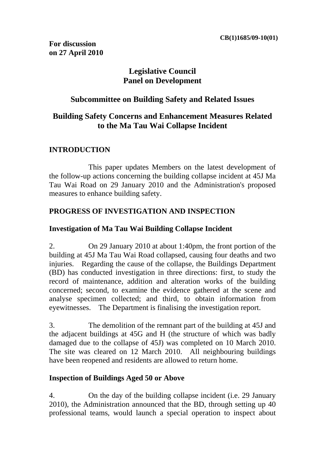# **Legislative Council Panel on Development**

### **Subcommittee on Building Safety and Related Issues**

# **Building Safety Concerns and Enhancement Measures Related to the Ma Tau Wai Collapse Incident**

### **INTRODUCTION**

 This paper updates Members on the latest development of the follow-up actions concerning the building collapse incident at 45J Ma Tau Wai Road on 29 January 2010 and the Administration's proposed measures to enhance building safety.

### **PROGRESS OF INVESTIGATION AND INSPECTION**

### **Investigation of Ma Tau Wai Building Collapse Incident**

2. On 29 January 2010 at about 1:40pm, the front portion of the building at 45J Ma Tau Wai Road collapsed, causing four deaths and two injuries. Regarding the cause of the collapse, the Buildings Department (BD) has conducted investigation in three directions: first, to study the record of maintenance, addition and alteration works of the building concerned; second, to examine the evidence gathered at the scene and analyse specimen collected; and third, to obtain information from eyewitnesses. The Department is finalising the investigation report.

3. The demolition of the remnant part of the building at 45J and the adjacent buildings at 45G and H (the structure of which was badly damaged due to the collapse of 45J) was completed on 10 March 2010. The site was cleared on 12 March 2010. All neighbouring buildings have been reopened and residents are allowed to return home.

### **Inspection of Buildings Aged 50 or Above**

4. On the day of the building collapse incident (i.e. 29 January 2010), the Administration announced that the BD, through setting up 40 professional teams, would launch a special operation to inspect about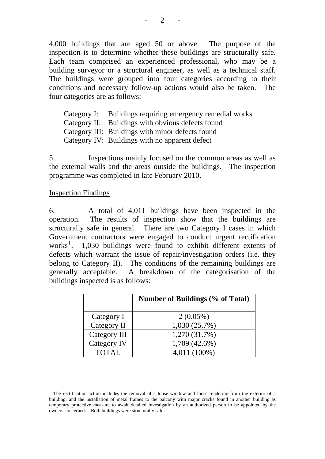4,000 buildings that are aged 50 or above. The purpose of the inspection is to determine whether these buildings are structurally safe. Each team comprised an experienced professional, who may be a building surveyor or a structural engineer, as well as a technical staff. The buildings were grouped into four categories according to their conditions and necessary follow-up actions would also be taken. The four categories are as follows:

Category I: Buildings requiring emergency remedial works Category II: Buildings with obvious defects found Category III: Buildings with minor defects found Category IV: Buildings with no apparent defect

5. Inspections mainly focused on the common areas as well as the external walls and the areas outside the buildings. The inspection programme was completed in late February 2010.

#### Inspection Findings

1

6. A total of 4,011 buildings have been inspected in the operation. The results of inspection show that the buildings are structurally safe in general. There are two Category I cases in which Government contractors were engaged to conduct urgent rectification works<sup>1</sup>. 1,030 buildings were found to exhibit different extents of defects which warrant the issue of repair/investigation orders (i.e. they belong to Category II). The conditions of the remaining buildings are generally acceptable. A breakdown of the categorisation of the buildings inspected is as follows:

|              | <b>Number of Buildings (% of Total)</b> |
|--------------|-----------------------------------------|
| Category I   | $2(0.05\%)$                             |
| Category II  | 1,030(25.7%)                            |
| Category III | 1,270 (31.7%)                           |
| Category IV  | 1,709 (42.6%)                           |
| <b>TOTAL</b> | 4,011 (100%)                            |

- 2 -

<sup>&</sup>lt;sup>1</sup> The rectification action includes the removal of a loose window and loose rendering from the exterior of a building; and the installation of metal frames to the balcony with major cracks found in another building as temporary protective measure to await detailed investigation by an authorized person to be appointed by the owners concerned. Both buildings were structurally safe.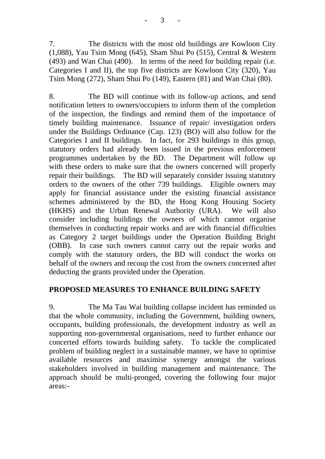7. The districts with the most old buildings are Kowloon City (1,088), Yau Tsim Mong (645), Sham Shui Po (515), Central & Western (493) and Wan Chai (490). In terms of the need for building repair (i.e. Categories I and II), the top five districts are Kowloon City (320), Yau Tsim Mong (272), Sham Shui Po (149), Eastern (81) and Wan Chai (80).

8. The BD will continue with its follow-up actions, and send notification letters to owners/occupiers to inform them of the completion of the inspection, the findings and remind them of the importance of timely building maintenance. Issuance of repair/ investigation orders under the Buildings Ordinance (Cap. 123) (BO) will also follow for the Categories I and II buildings. In fact, for 293 buildings in this group, statutory orders had already been issued in the previous enforcement programmes undertaken by the BD. The Department will follow up with these orders to make sure that the owners concerned will properly repair their buildings. The BD will separately consider issuing statutory orders to the owners of the other 739 buildings. Eligible owners may apply for financial assistance under the existing financial assistance schemes administered by the BD, the Hong Kong Housing Society (HKHS) and the Urban Renewal Authority (URA). We will also consider including buildings the owners of which cannot organise themselves in conducting repair works and are with financial difficulties as Category 2 target buildings under the Operation Building Bright (OBB). In case such owners cannot carry out the repair works and comply with the statutory orders, the BD will conduct the works on behalf of the owners and recoup the cost from the owners concerned after deducting the grants provided under the Operation.

### **PROPOSED MEASURES TO ENHANCE BUILDING SAFETY**

9. The Ma Tau Wai building collapse incident has reminded us that the whole community, including the Government, building owners, occupants, building professionals, the development industry as well as supporting non-governmental organisations, need to further enhance our concerted efforts towards building safety. To tackle the complicated problem of building neglect in a sustainable manner, we have to optimise available resources and maximise synergy amongst the various stakeholders involved in building management and maintenance. The approach should be multi-pronged, covering the following four major areas:-

- 3 -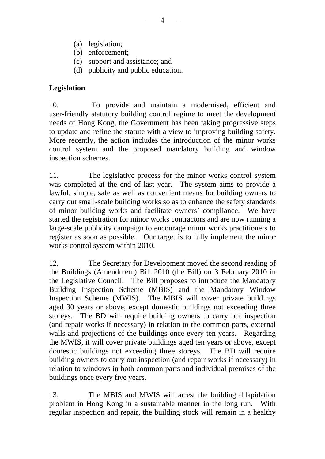- (a) legislation;
- (b) enforcement;
- (c) support and assistance; and
- (d) publicity and public education.

### **Legislation**

10. To provide and maintain a modernised, efficient and user-friendly statutory building control regime to meet the development needs of Hong Kong, the Government has been taking progressive steps to update and refine the statute with a view to improving building safety. More recently, the action includes the introduction of the minor works control system and the proposed mandatory building and window inspection schemes.

11. The legislative process for the minor works control system was completed at the end of last year. The system aims to provide a lawful, simple, safe as well as convenient means for building owners to carry out small-scale building works so as to enhance the safety standards of minor building works and facilitate owners' compliance. We have started the registration for minor works contractors and are now running a large-scale publicity campaign to encourage minor works practitioners to register as soon as possible. Our target is to fully implement the minor works control system within 2010.

12. The Secretary for Development moved the second reading of the Buildings (Amendment) Bill 2010 (the Bill) on 3 February 2010 in the Legislative Council. The Bill proposes to introduce the Mandatory Building Inspection Scheme (MBIS) and the Mandatory Window Inspection Scheme (MWIS). The MBIS will cover private buildings aged 30 years or above, except domestic buildings not exceeding three storeys. The BD will require building owners to carry out inspection (and repair works if necessary) in relation to the common parts, external walls and projections of the buildings once every ten years. Regarding the MWIS, it will cover private buildings aged ten years or above, except domestic buildings not exceeding three storeys. The BD will require building owners to carry out inspection (and repair works if necessary) in relation to windows in both common parts and individual premises of the buildings once every five years.

13. The MBIS and MWIS will arrest the building dilapidation problem in Hong Kong in a sustainable manner in the long run. With regular inspection and repair, the building stock will remain in a healthy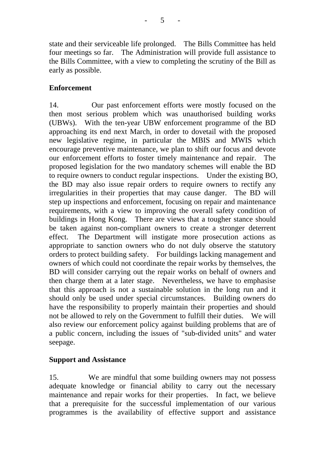state and their serviceable life prolonged. The Bills Committee has held four meetings so far. The Administration will provide full assistance to the Bills Committee, with a view to completing the scrutiny of the Bill as early as possible.

### **Enforcement**

14. Our past enforcement efforts were mostly focused on the then most serious problem which was unauthorised building works (UBWs). With the ten-year UBW enforcement programme of the BD approaching its end next March, in order to dovetail with the proposed new legislative regime, in particular the MBIS and MWIS which encourage preventive maintenance, we plan to shift our focus and devote our enforcement efforts to foster timely maintenance and repair. The proposed legislation for the two mandatory schemes will enable the BD to require owners to conduct regular inspections. Under the existing BO, the BD may also issue repair orders to require owners to rectify any irregularities in their properties that may cause danger. The BD will step up inspections and enforcement, focusing on repair and maintenance requirements, with a view to improving the overall safety condition of buildings in Hong Kong. There are views that a tougher stance should be taken against non-compliant owners to create a stronger deterrent effect. The Department will instigate more prosecution actions as appropriate to sanction owners who do not duly observe the statutory orders to protect building safety. For buildings lacking management and owners of which could not coordinate the repair works by themselves, the BD will consider carrying out the repair works on behalf of owners and then charge them at a later stage. Nevertheless, we have to emphasise that this approach is not a sustainable solution in the long run and it should only be used under special circumstances. Building owners do have the responsibility to properly maintain their properties and should not be allowed to rely on the Government to fulfill their duties. We will also review our enforcement policy against building problems that are of a public concern, including the issues of "sub-divided units" and water seepage.

### **Support and Assistance**

15. We are mindful that some building owners may not possess adequate knowledge or financial ability to carry out the necessary maintenance and repair works for their properties. In fact, we believe that a prerequisite for the successful implementation of our various programmes is the availability of effective support and assistance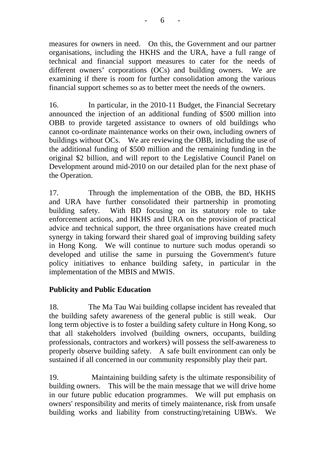measures for owners in need. On this, the Government and our partner organisations, including the HKHS and the URA, have a full range of technical and financial support measures to cater for the needs of different owners' corporations (OCs) and building owners. We are examining if there is room for further consolidation among the various financial support schemes so as to better meet the needs of the owners.

16. In particular, in the 2010-11 Budget, the Financial Secretary announced the injection of an additional funding of \$500 million into OBB to provide targeted assistance to owners of old buildings who cannot co-ordinate maintenance works on their own, including owners of buildings without OCs. We are reviewing the OBB, including the use of the additional funding of \$500 million and the remaining funding in the original \$2 billion, and will report to the Legislative Council Panel on Development around mid-2010 on our detailed plan for the next phase of the Operation.

17. Through the implementation of the OBB, the BD, HKHS and URA have further consolidated their partnership in promoting building safety. With BD focusing on its statutory role to take enforcement actions, and HKHS and URA on the provision of practical advice and technical support, the three organisations have created much synergy in taking forward their shared goal of improving building safety in Hong Kong. We will continue to nurture such modus operandi so developed and utilise the same in pursuing the Government's future policy initiatives to enhance building safety, in particular in the implementation of the MBIS and MWIS.

# **Publicity and Public Education**

18. The Ma Tau Wai building collapse incident has revealed that the building safety awareness of the general public is still weak. Our long term objective is to foster a building safety culture in Hong Kong, so that all stakeholders involved (building owners, occupants, building professionals, contractors and workers) will possess the self-awareness to properly observe building safety. A safe built environment can only be sustained if all concerned in our community responsibly play their part.

19. Maintaining building safety is the ultimate responsibility of building owners. This will be the main message that we will drive home in our future public education programmes. We will put emphasis on owners' responsibility and merits of timely maintenance, risk from unsafe building works and liability from constructing/retaining UBWs. We

- 6 -